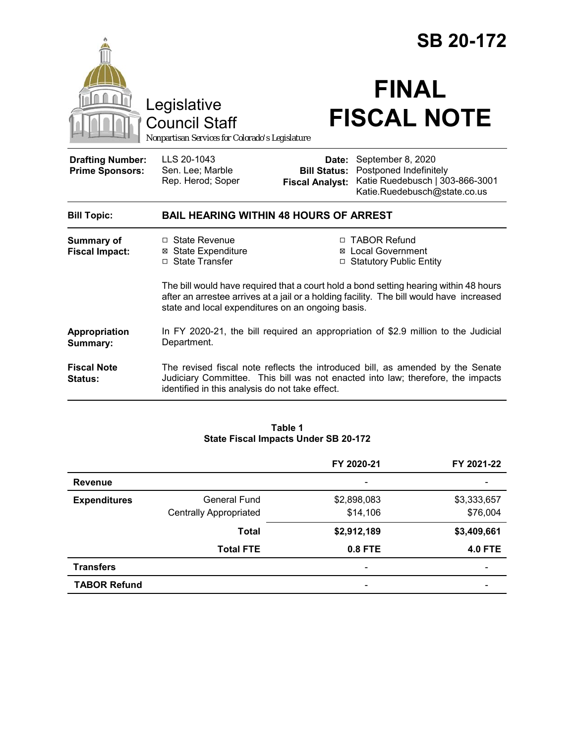|                                                                                 |                                                                                                                                                                                                                                        | <b>SB 20-172</b>                   |                                                                                                                                                                   |  |
|---------------------------------------------------------------------------------|----------------------------------------------------------------------------------------------------------------------------------------------------------------------------------------------------------------------------------------|------------------------------------|-------------------------------------------------------------------------------------------------------------------------------------------------------------------|--|
| Legislative<br>Council Staff<br>Nonpartisan Services for Colorado's Legislature |                                                                                                                                                                                                                                        | <b>FINAL</b><br><b>FISCAL NOTE</b> |                                                                                                                                                                   |  |
| <b>Drafting Number:</b><br><b>Prime Sponsors:</b>                               | LLS 20-1043<br>Sen. Lee; Marble<br>Rep. Herod; Soper                                                                                                                                                                                   | Date:<br><b>Fiscal Analyst:</b>    | September 8, 2020<br><b>Bill Status: Postponed Indefinitely</b><br>Katie Ruedebusch   303-866-3001<br>Katie.Ruedebusch@state.co.us                                |  |
| <b>Bill Topic:</b>                                                              | <b>BAIL HEARING WITHIN 48 HOURS OF ARREST</b>                                                                                                                                                                                          |                                    |                                                                                                                                                                   |  |
| <b>Summary of</b><br><b>Fiscal Impact:</b>                                      | □ State Revenue<br><b>⊠</b> State Expenditure<br>□ State Transfer                                                                                                                                                                      |                                    | □ TABOR Refund<br><b>⊠</b> Local Government<br>□ Statutory Public Entity                                                                                          |  |
|                                                                                 | The bill would have required that a court hold a bond setting hearing within 48 hours<br>after an arrestee arrives at a jail or a holding facility. The bill would have increased<br>state and local expenditures on an ongoing basis. |                                    |                                                                                                                                                                   |  |
| Appropriation<br>Summary:                                                       | In FY 2020-21, the bill required an appropriation of \$2.9 million to the Judicial<br>Department.                                                                                                                                      |                                    |                                                                                                                                                                   |  |
| <b>Fiscal Note</b><br>Status:                                                   | identified in this analysis do not take effect.                                                                                                                                                                                        |                                    | The revised fiscal note reflects the introduced bill, as amended by the Senate<br>Judiciary Committee. This bill was not enacted into law; therefore, the impacts |  |

#### **Table 1 State Fiscal Impacts Under SB 20-172**

|                     |                               | FY 2020-21                   | FY 2021-22               |
|---------------------|-------------------------------|------------------------------|--------------------------|
| <b>Revenue</b>      |                               | $\qquad \qquad \blacksquare$ | $\overline{\phantom{0}}$ |
| <b>Expenditures</b> | General Fund                  | \$2,898,083                  | \$3,333,657              |
|                     | <b>Centrally Appropriated</b> | \$14,106                     | \$76,004                 |
|                     | <b>Total</b>                  | \$2,912,189                  | \$3,409,661              |
|                     | <b>Total FTE</b>              | <b>0.8 FTE</b>               | <b>4.0 FTE</b>           |
| <b>Transfers</b>    |                               | $\overline{\phantom{a}}$     | -                        |
| <b>TABOR Refund</b> |                               | $\overline{\phantom{0}}$     |                          |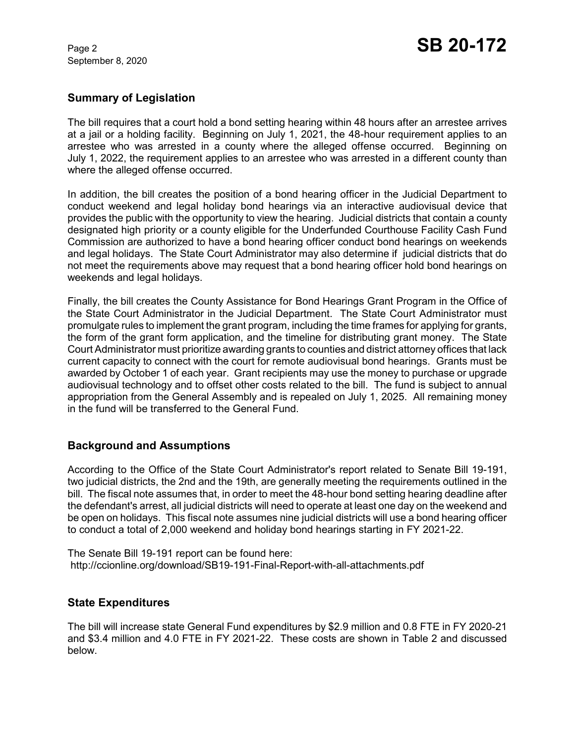September 8, 2020

## **Summary of Legislation**

The bill requires that a court hold a bond setting hearing within 48 hours after an arrestee arrives at a jail or a holding facility. Beginning on July 1, 2021, the 48-hour requirement applies to an arrestee who was arrested in a county where the alleged offense occurred. Beginning on July 1, 2022, the requirement applies to an arrestee who was arrested in a different county than where the alleged offense occurred.

In addition, the bill creates the position of a bond hearing officer in the Judicial Department to conduct weekend and legal holiday bond hearings via an interactive audiovisual device that provides the public with the opportunity to view the hearing. Judicial districts that contain a county designated high priority or a county eligible for the Underfunded Courthouse Facility Cash Fund Commission are authorized to have a bond hearing officer conduct bond hearings on weekends and legal holidays. The State Court Administrator may also determine if judicial districts that do not meet the requirements above may request that a bond hearing officer hold bond hearings on weekends and legal holidays.

Finally, the bill creates the County Assistance for Bond Hearings Grant Program in the Office of the State Court Administrator in the Judicial Department. The State Court Administrator must promulgate rules to implement the grant program, including the time frames for applying for grants, the form of the grant form application, and the timeline for distributing grant money. The State Court Administrator must prioritize awarding grants to counties and district attorney offices that lack current capacity to connect with the court for remote audiovisual bond hearings. Grants must be awarded by October 1 of each year. Grant recipients may use the money to purchase or upgrade audiovisual technology and to offset other costs related to the bill. The fund is subject to annual appropriation from the General Assembly and is repealed on July 1, 2025. All remaining money in the fund will be transferred to the General Fund.

# **Background and Assumptions**

According to the Office of the State Court Administrator's report related to Senate Bill 19-191, two judicial districts, the 2nd and the 19th, are generally meeting the requirements outlined in the bill. The fiscal note assumes that, in order to meet the 48-hour bond setting hearing deadline after the defendant's arrest, all judicial districts will need to operate at least one day on the weekend and be open on holidays. This fiscal note assumes nine judicial districts will use a bond hearing officer to conduct a total of 2,000 weekend and holiday bond hearings starting in FY 2021-22.

The Senate Bill 19-191 report can be found here: http://ccionline.org/download/SB19-191-Final-Report-with-all-attachments.pdf

## **State Expenditures**

The bill will increase state General Fund expenditures by \$2.9 million and 0.8 FTE in FY 2020-21 and \$3.4 million and 4.0 FTE in FY 2021-22. These costs are shown in Table 2 and discussed below.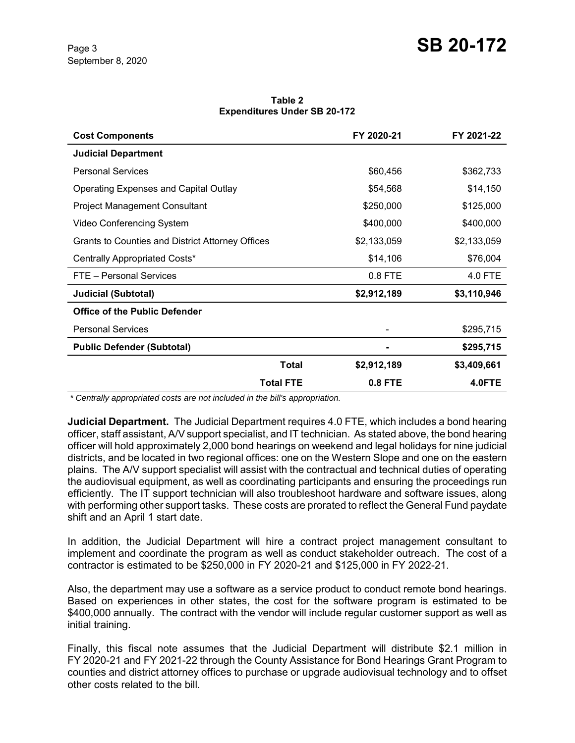**Table 2 Expenditures Under SB 20-172**

| <b>Cost Components</b>                           | FY 2020-21     | FY 2021-22  |
|--------------------------------------------------|----------------|-------------|
| <b>Judicial Department</b>                       |                |             |
| <b>Personal Services</b>                         | \$60,456       | \$362,733   |
| Operating Expenses and Capital Outlay            | \$54,568       | \$14,150    |
| <b>Project Management Consultant</b>             | \$250,000      | \$125,000   |
| Video Conferencing System                        | \$400,000      | \$400,000   |
| Grants to Counties and District Attorney Offices | \$2,133,059    | \$2,133,059 |
| Centrally Appropriated Costs*                    | \$14,106       | \$76,004    |
| FTE - Personal Services                          | 0.8 FTE        | 4.0 FTE     |
| <b>Judicial (Subtotal)</b>                       | \$2,912,189    | \$3,110,946 |
| <b>Office of the Public Defender</b>             |                |             |
| <b>Personal Services</b>                         |                | \$295,715   |
| <b>Public Defender (Subtotal)</b>                |                | \$295,715   |
| Total                                            | \$2,912,189    | \$3,409,661 |
| <b>Total FTE</b>                                 | <b>0.8 FTE</b> | 4.0FTE      |

 *\* Centrally appropriated costs are not included in the bill's appropriation.*

**Judicial Department.** The Judicial Department requires 4.0 FTE, which includes a bond hearing officer, staff assistant, A/V support specialist, and IT technician. As stated above, the bond hearing officer will hold approximately 2,000 bond hearings on weekend and legal holidays for nine judicial districts, and be located in two regional offices: one on the Western Slope and one on the eastern plains. The A/V support specialist will assist with the contractual and technical duties of operating the audiovisual equipment, as well as coordinating participants and ensuring the proceedings run efficiently. The IT support technician will also troubleshoot hardware and software issues, along with performing other support tasks. These costs are prorated to reflect the General Fund paydate shift and an April 1 start date.

In addition, the Judicial Department will hire a contract project management consultant to implement and coordinate the program as well as conduct stakeholder outreach. The cost of a contractor is estimated to be \$250,000 in FY 2020-21 and \$125,000 in FY 2022-21.

Also, the department may use a software as a service product to conduct remote bond hearings. Based on experiences in other states, the cost for the software program is estimated to be \$400,000 annually. The contract with the vendor will include regular customer support as well as initial training.

Finally, this fiscal note assumes that the Judicial Department will distribute \$2.1 million in FY 2020-21 and FY 2021-22 through the County Assistance for Bond Hearings Grant Program to counties and district attorney offices to purchase or upgrade audiovisual technology and to offset other costs related to the bill.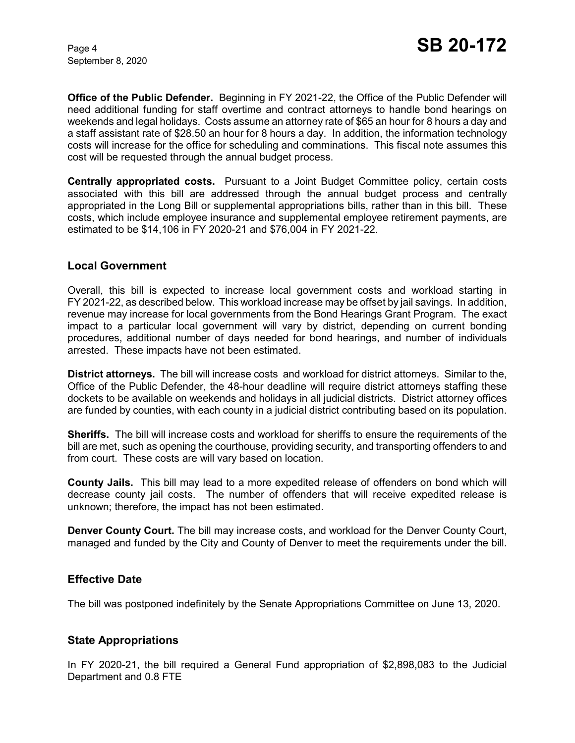September 8, 2020

**Office of the Public Defender.** Beginning in FY 2021-22, the Office of the Public Defender will need additional funding for staff overtime and contract attorneys to handle bond hearings on weekends and legal holidays. Costs assume an attorney rate of \$65 an hour for 8 hours a day and a staff assistant rate of \$28.50 an hour for 8 hours a day. In addition, the information technology costs will increase for the office for scheduling and comminations. This fiscal note assumes this cost will be requested through the annual budget process.

**Centrally appropriated costs.** Pursuant to a Joint Budget Committee policy, certain costs associated with this bill are addressed through the annual budget process and centrally appropriated in the Long Bill or supplemental appropriations bills, rather than in this bill. These costs, which include employee insurance and supplemental employee retirement payments, are estimated to be \$14,106 in FY 2020-21 and \$76,004 in FY 2021-22.

#### **Local Government**

Overall, this bill is expected to increase local government costs and workload starting in FY 2021-22, as described below. This workload increase may be offset by jail savings. In addition, revenue may increase for local governments from the Bond Hearings Grant Program. The exact impact to a particular local government will vary by district, depending on current bonding procedures, additional number of days needed for bond hearings, and number of individuals arrested. These impacts have not been estimated.

**District attorneys.** The bill will increase costs and workload for district attorneys. Similar to the, Office of the Public Defender, the 48-hour deadline will require district attorneys staffing these dockets to be available on weekends and holidays in all judicial districts. District attorney offices are funded by counties, with each county in a judicial district contributing based on its population.

**Sheriffs.** The bill will increase costs and workload for sheriffs to ensure the requirements of the bill are met, such as opening the courthouse, providing security, and transporting offenders to and from court. These costs are will vary based on location.

**County Jails.** This bill may lead to a more expedited release of offenders on bond which will decrease county jail costs. The number of offenders that will receive expedited release is unknown; therefore, the impact has not been estimated.

**Denver County Court.** The bill may increase costs, and workload for the Denver County Court, managed and funded by the City and County of Denver to meet the requirements under the bill.

## **Effective Date**

The bill was postponed indefinitely by the Senate Appropriations Committee on June 13, 2020.

## **State Appropriations**

In FY 2020-21, the bill required a General Fund appropriation of \$2,898,083 to the Judicial Department and 0.8 FTE